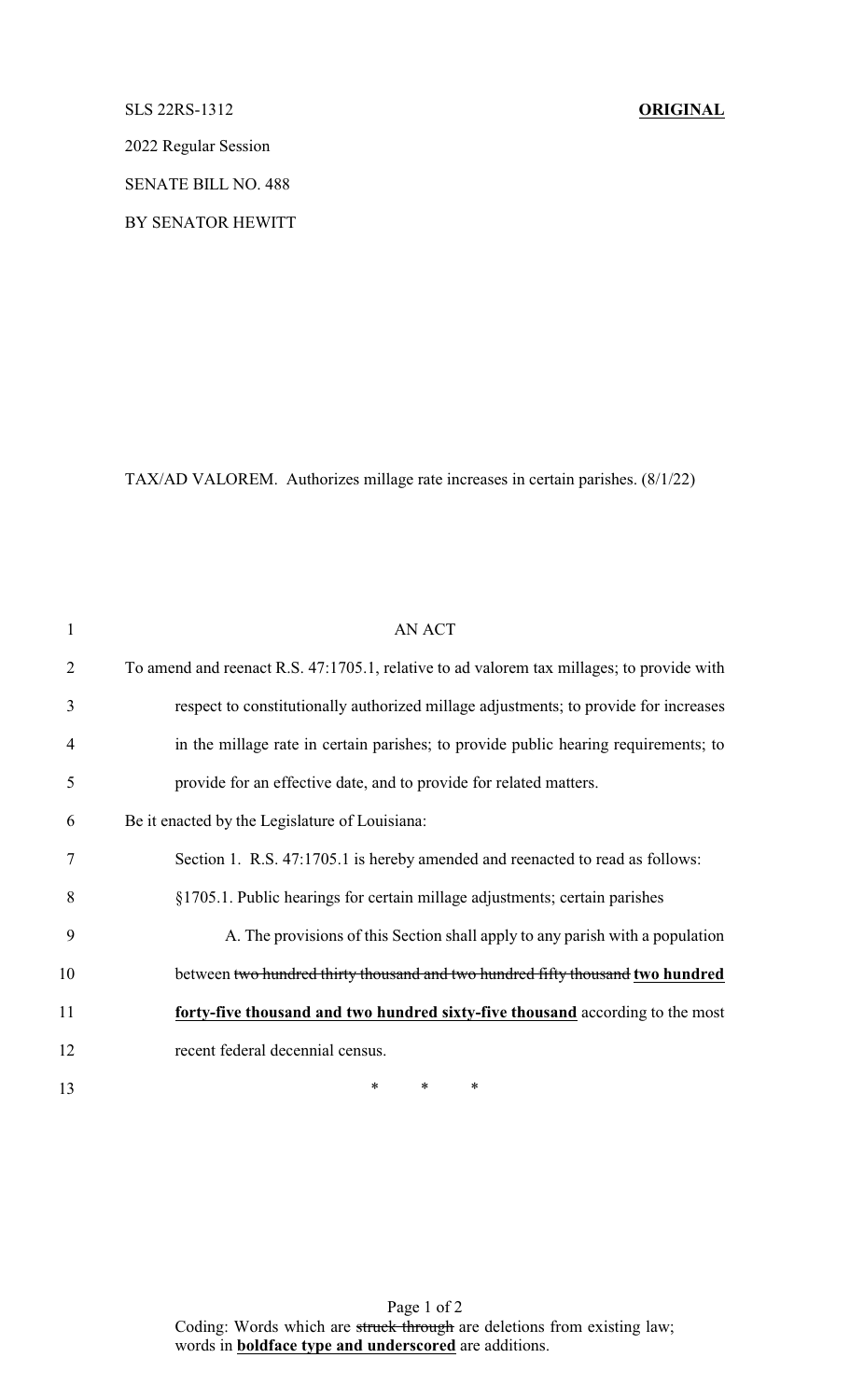## SLS 22RS-1312 **ORIGINAL**

2022 Regular Session

SENATE BILL NO. 488

BY SENATOR HEWITT

TAX/AD VALOREM. Authorizes millage rate increases in certain parishes. (8/1/22)

| $\mathbf{1}$   | AN ACT                                                                                    |
|----------------|-------------------------------------------------------------------------------------------|
| $\overline{2}$ | To amend and reenact R.S. 47:1705.1, relative to ad valorem tax millages; to provide with |
| 3              | respect to constitutionally authorized millage adjustments; to provide for increases      |
| $\overline{4}$ | in the millage rate in certain parishes; to provide public hearing requirements; to       |
| 5              | provide for an effective date, and to provide for related matters.                        |
| 6              | Be it enacted by the Legislature of Louisiana:                                            |
| 7              | Section 1. R.S. 47:1705.1 is hereby amended and reenacted to read as follows:             |
| 8              | §1705.1. Public hearings for certain millage adjustments; certain parishes                |
| 9              | A. The provisions of this Section shall apply to any parish with a population             |
| 10             | between two hundred thirty thousand and two hundred fifty thousand two hundred            |
| 11             | forty-five thousand and two hundred sixty-five thousand according to the most             |
| 12             | recent federal decennial census.                                                          |
| 13             | $\ast$<br>$\ast$<br>*                                                                     |